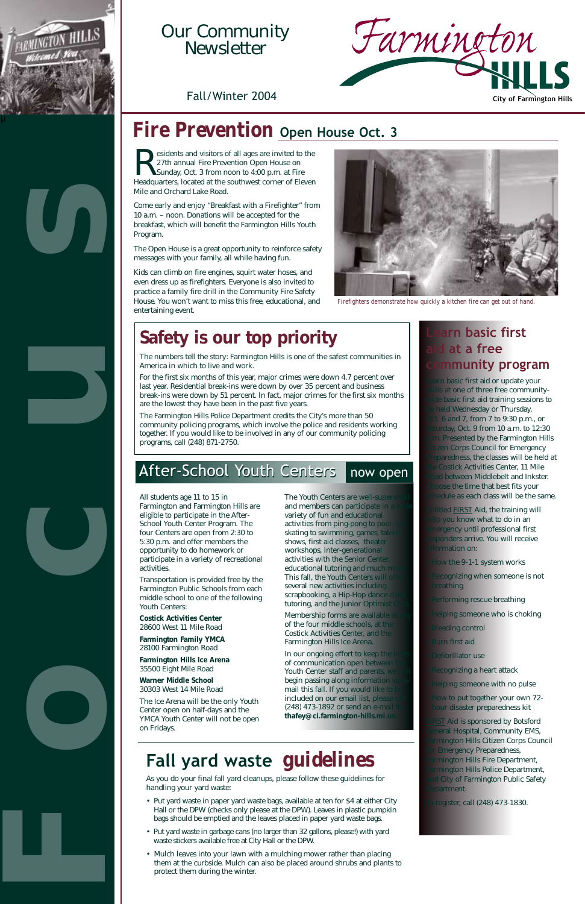**Residents and visitors of all ages are invited to the**<br>27th annual Fire Prevention Open House on<br>Sunday, Oct. 3 from noon to 4:00 p.m. at Fire<br>Headquarters, located at the southwest corner of Eleven 27th annual Fire Prevention Open House on Sunday, Oct. 3 from noon to 4:00 p.m. at Fire Headquarters, located at the southwest corner of Eleven Mile and Orchard Lake Road.

Come early and enjoy "Breakfast with a Firefighter" from 10 a.m. – noon. Donations will be accepted for the breakfast, which will benefit the Farmington Hills Youth Program.

The Open House is a great opportunity to reinforce safety messages with your family, all while having fun.

Kids can climb on fire engines, squirt water hoses, and even dress up as firefighters. Everyone is also invited to practice a family fire drill in the Community Fire Safety House. You won't want to miss this free, educational, and entertaining event.

# **Safety is our top priority**

Learn basic first aid or update your kills at one of three free communitywide basic first aid training sessions to **be held Wednesday or Thursday,** Oct. 6 and 7, from 7 to 9:30 p.m., or Saturday, Oct. 9 from 10 a.m. to 12:30 **p.m.** Presented by the Farmington Hills **Citizen Corps Council for Emergency Preparedness**, the classes will be held at the Costick Activities Center, 11 Mile Road between Middlebelt and Inkster. **Choose the time that best fits your** chedule as each class will be the same.

The numbers tell the story: Farmington Hills is one of the safest communities in America in which to live and work.

For the first six months of this year, major crimes were down 4.7 percent over last year. Residential break-ins were down by over 35 percent and business break-ins were down by 51 percent. In fact, major crimes for the first six months are the lowest they have been in the past five years.

> **Entitled FIRST** Aid, the training will help you know what to do in an emergency until professional first **responders arrive. You will receive** information on:

- **How the 9-1-1 system works**
- **Recognizing when someone is not** breathing
- **Performing rescue breathing**
- **Helping someone who is choking**
- **Bleeding control**
- Burn first aid
- **Defibrillator use**

- **Recognizing a heart attack**
- **Helping someone with no pulse**
- **How to put together your own 72**hour disaster preparedness kit

The Farmington Hills Police Department credits the City's more than 50 community policing programs, which involve the police and residents working together. If you would like to be involved in any of our community policing programs, call (248) 871-2750.

# After-School Youth Centers now open

**FIRST** Aid is sponsored by Botsford **General Hospital, Community EMS, Farmington Hills Citizen Corps Council** for Emergency Preparedness, **Farmington Hills Fire Department, Farmington Hills Police Department,** and City of Farmington Public Safety Department.

**To register, call (248) 473-1830.** 

# **Learn basic first d** at a free **community program**

Membership forms are available of the four middle schools, at the Costick Activities Center, and th Farmington Hills Ice Arena.

In our ongoing effort to keep the of communication open b Youth Center staff and parents, begin passing along informatio mail this fall. If you would like included on our email list, plea (248) 473-1892 or send an e-ma **thafey@ci.farmington-hills.mi.us.**

# *Fire Prevention* **Open House Oct. 3**



# Our Community<br>Newsletter





Farmington and Farmington Hills are eligible to participate in the After-School Youth Center Program. The four Centers are open from 2:30 to 5:30 p.m. and offer members the opportunity to do homework or participate in a variety of recreational activities.

Transportation is provided free by the Farmington Public Schools from each middle school to one of the following Youth Centers:

**Costick Activities Center** 28600 West 11 Mile Road

**Farmington Family YMCA**  28100 Farmington Road

**Farmington Hills Ice Arena**

The Youth Centers are well-super and members can participate in variety of fun and educational activities from ping-pong to poor skating to swimming, games, tal shows, first aid classes, theater workshops, inter-generational activities with the Senior Center educational tutoring and much This fall, the Youth Centers will several new activities including scrapbooking, a Hip-Hop dance tutoring, and the Junior Optimi

35500 Eight Mile Road

**Warner Middle School**  30303 West 14 Mile Road

The Ice Arena will be the only Youth Center open on half-days and the YMCA Youth Center will not be open on Fridays.



*Firefighters demonstrate how quickly a kitchen fire can get out of hand.*

# **Fall yard waste** *guidelines*

As you do your final fall yard cleanups, please follow these guidelines for handling your yard waste:

- Put yard waste in paper yard waste bags, available at ten for \$4 at either City Hall or the DPW (checks only please at the DPW). Leaves in plastic pumpkin bags should be emptied and the leaves placed in paper yard waste bags.
- Put yard waste in garbage cans (no larger than 32 gallons, please!) with yard waste stickers available free at City Hall or the DPW.
- Mulch leaves into your lawn with a mulching mower rather than placing them at the curbside. Mulch can also be placed around shrubs and plants to protect them during the winter.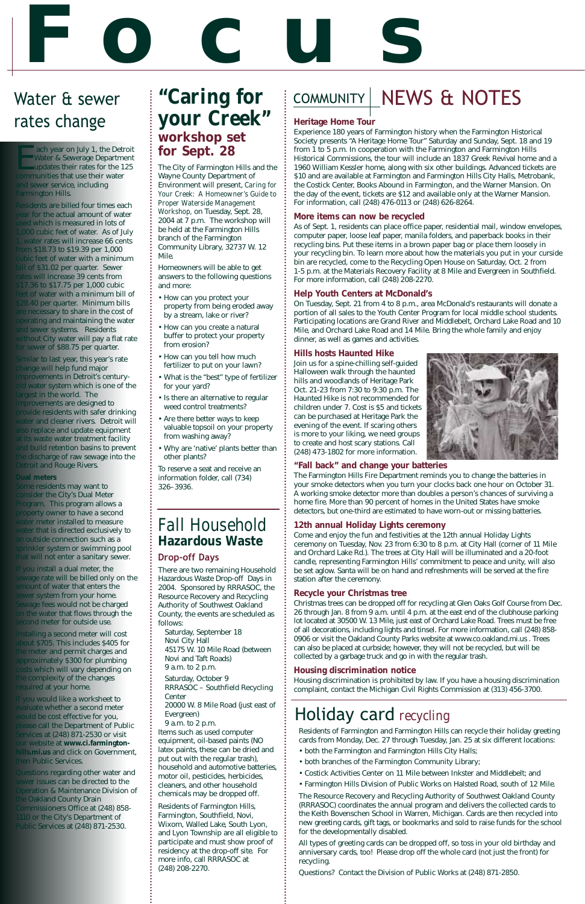# **Focus**

There are two remaining Household Hazardous Waste Drop-off Days in 2004. Sponsored by RRRASOC, the Resource Recovery and Recycling Authority of Southwest Oakland County, the events are scheduled as follows:

Saturday, September 18 Novi City Hall 45175 W. 10 Mile Road (between Novi and Taft Roads) 9 a.m. to 2 p.m. Saturday, October 9 RRRASOC – Southfield Recycling Center 20000 W. 8 Mile Road (just east of Evergreen) 9 a.m. to 2 p.m. Items such as used computer equipment, oil-based paints (NO latex paints, these can be dried and put out with the regular trash), household and automotive batteries, motor oil, pesticides, herbicides, cleaners, and other household chemicals may be dropped off.

# COMMUNITY | NEWS & NOTES

Each year on July 1, the Detroit<br>Water & Sewerage Department<br>updates their rates for the 125<br>communities that use their water Water & Sewerage Department updates their rates for the 125 communities that use their water and sewer service, including Farmington Hills.

> Residents of Farmington Hills, Farmington, Southfield, Novi, Wixom, Walled Lake, South Lyon, and Lyon Township are all eligible to participate and must show proof of residency at the drop-off site. For more info, call RRRASOC at (248) 208-2270.

Residents are billed four times each year for the actual amount of water used which is measured in lots of 1,000 cubic feet of water. As of July 1, water rates will increase 66 cents from \$18.73 to \$19.39 per 1,000 cubic feet of water with a minimum bill of \$31.02 per quarter. Sewer rates will increase 39 cents from \$17.36 to \$17.75 per 1,000 cubic feet of water with a minimum bill of \$28.40 per quarter. Minimum bills are necessary to share in the cost of operating and maintaining the water and sewer systems. Residents without City water will pay a flat rate for sewer of \$88.75 per quarter.

Similar to last year, this year's rate change will help fund major improvements in Detroit's centuryold water system which is one of the largest in the world. The improvements are designed to provide residents with safer drinking water and cleaner rivers. Detroit will also replace and update equipment at its waste water treatment facility and build retention basins to prevent the discharge of raw sewage into the Detroit and Rouge Rivers.

#### **Dual meters**

Some residents may want to consider the City's Dual Meter Program. This program allows a property owner to have a second water meter installed to measure water that is directed exclusively to an outside connection such as a sprinkler system or swimming pool that will not enter a sanitary sewer.

If you install a dual meter, the sewage rate will be billed only on the amount of water that enters the sewer system from your home. Sewage fees would not be charged on the water that flows through the second meter for outside use.

Installing a second meter will cost about \$705. This includes \$405 for the meter and permit charges and approximately \$300 for plumbing

costs which will vary depending on the complexity of the changes required at your home.

If you would like a worksheet to evaluate whether a second meter would be cost effective for you, please call the Department of Public Services at (248) 871-2530 or visit our website at **www.ci.farmingtonhills.mi.us** and click on Government, then Public Services.

Questions regarding other water and sewer issues can be directed to the Operation & Maintenance Division of the Oakland County Drain Commissioners Office at (248) 858- 1110 or the City's Department of Public Services at (248) 871-2530.

# Water & sewer

# rates change  $\qquad \qquad \mid \textit{your Creek" } \mid \text{ Heritage Home Tour}$ *"Caring for* **workshop set for Sept. 28**

Experience 180 years of Farmington history when the Farmington Historical Society presents "A Heritage Home Tour" Saturday and Sunday, Sept. 18 and 19 from 1 to 5 p.m. In cooperation with the Farmington and Farmington Hills Historical Commissions, the tour will include an 1837 Greek Revival home and a 1960 William Kessler home, along with six other buildings. Advanced tickets are \$10 and are available at Farmington and Farmington Hills City Halls, Metrobank, the Costick Center, Books Abound in Farmington, and the Warner Mansion. On the day of the event, tickets are \$12 and available only at the Warner Mansion. For information, call (248) 476-0113 or (248) 626-8264.

#### **More items can now be recycled**

As of Sept. 1, residents can place office paper, residential mail, window envelopes, computer paper, loose leaf paper, manila folders, and paperback books in their recycling bins. Put these items in a brown paper bag or place them loosely in your recycling bin. To learn more about how the materials you put in your curside bin are recycled, come to the Recycling Open House on Saturday, Oct. 2 from 1-5 p.m. at the Materials Recovery Facility at 8 Mile and Evergreen in Southfield. For more information, call (248) 208-2270.

#### **Help Youth Centers at McDonald's**

On Tuesday, Sept. 21 from 4 to 8 p.m., area McDonald's restaurants will donate a portion of all sales to the Youth Center Program for local middle school students. Participating locations are Grand River and Middlebelt, Orchard Lake Road and 10 Mile, and Orchard Lake Road and 14 Mile. Bring the whole family and enjoy dinner, as well as games and activities.

#### **Hills hosts Haunted Hike**

Join us for a spine-chilling self-guided Halloween walk through the haunted hills and woodlands of Heritage Park Oct. 21-23 from 7:30 to 9:30 p.m. The Haunted Hike is not recommended for children under 7. Cost is \$5 and tickets can be purchased at Heritage Park the evening of the event. If scaring others is more to your liking, we need groups to create and host scary stations. Call (248) 473-1802 for more information.



#### **"Fall back" and change your batteries**

The Farmington Hills Fire Department reminds you to change the batteries in your smoke detectors when you turn your clocks back one hour on October 31. A working smoke detector more than doubles a person's chances of surviving a home fire. More than 90 percent of homes in the United States have smoke detectors, but one-third are estimated to have worn-out or missing batteries.

#### **12th annual Holiday Lights ceremony**

Come and enjoy the fun and festivities at the 12th annual Holiday Lights ceremony on Tuesday, Nov. 23 from 6:30 to 8 p.m. at City Hall (corner of 11 Mile and Orchard Lake Rd.). The trees at City Hall will be illuminated and a 20-foot candle, representing Farmington Hills' commitment to peace and unity, will also be set aglow. Santa will be on hand and refreshments will be served at the fire station after the ceremony.

#### **Recycle your Christmas tree**

Christmas trees can be dropped off for recycling at Glen Oaks Golf Course from Dec. 26 through Jan. 8 from 9 a.m. until 4 p.m. at the east end of the clubhouse parking lot located at 30500 W. 13 Mile, just east of Orchard Lake Road. Trees must be free of all decorations, including lights and tinsel. For more information, call (248) 858- 0906 or visit the Oakland County Parks website at www.co.oakland.mi.us . Trees can also be placed at curbside; however, they will not be recycled, but will be collected by a garbage truck and go in with the regular trash.

#### **Housing discrimination notice**

Housing discrimination is prohibited by law. If you have a housing discrimination complaint, contact the Michigan Civil Rights Commission at (313) 456-3700.

The City of Farmington Hills and the Wayne County Department of Environment will present, *Caring for Your Creek: A Homeowner's Guide to Proper Waterside Management Workshop,* on Tuesday, Sept. 28, 2004 at 7 p.m. The workshop will be held at the Farmington Hills branch of the Farmington Community Library, 32737 W. 12 Mile.

Homeowners will be able to get answers to the following questions and more:

- How can you protect your property from being eroded away by a stream, lake or river?
- How can you create a natural buffer to protect your property from erosion?
- How can you tell how much fertilizer to put on your lawn?
- What is the "best" type of fertilizer for your yard?
- Is there an alternative to regular weed control treatments?
- Are there better ways to keep valuable topsoil on your property from washing away?
- Why are 'native' plants better than other plants?

To reserve a seat and receive an information folder, call (734) 326–3936.

## *Fall Household Hazardous Waste* **Drop-off Days**

# Holiday card *recycling*

Residents of Farmington and Farmington Hills can recycle their holiday greeting cards from Monday, Dec. 27 through Tuesday, Jan. 25 at six different locations:

- both the Farmington and Farmington Hills City Halls;
- both branches of the Farmington Community Library;
- Costick Activities Center on 11 Mile between Inkster and Middlebelt; and
- Farmington Hills Division of Public Works on Halsted Road, south of 12 Mile.

The Resource Recovery and Recycling Authority of Southwest Oakland County (RRRASOC) coordinates the annual program and delivers the collected cards to the Keith Bovenschen School in Warren, Michigan. Cards are then recycled into new greeting cards, gift tags, or bookmarks and sold to raise funds for the school for the developmentally disabled.

All types of greeting cards can be dropped off, so toss in your old birthday and anniversary cards, too! Please drop off the whole card (not just the front) for recycling.

Questions? Contact the Division of Public Works at (248) 871-2850.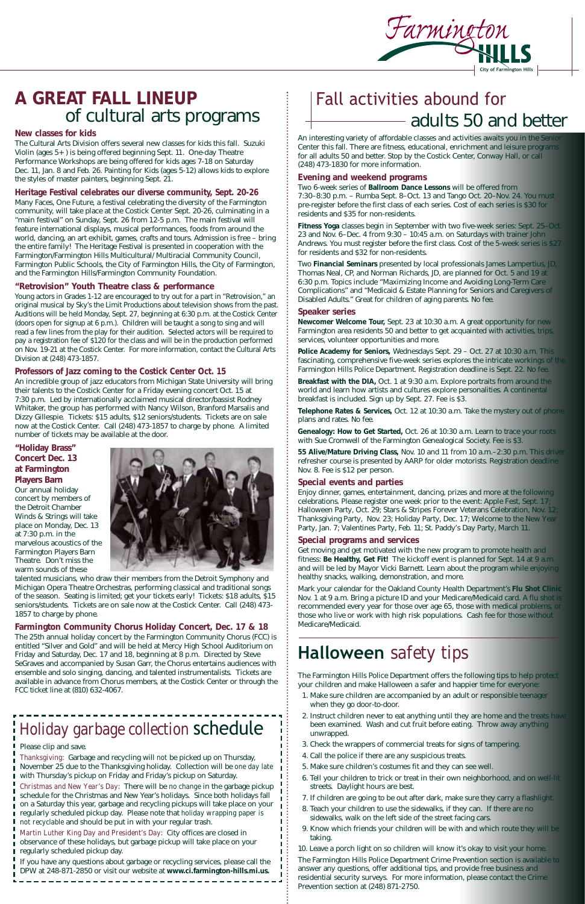# **A GREAT FALL LINEUP** of cultural arts programs

#### **New classes for kids**

The Cultural Arts Division offers several new classes for kids this fall. Suzuki Violin (ages 5+) is being offered beginning Sept. 11. One-day Theatre Performance Workshops are being offered for kids ages 7-18 on Saturday Dec. 11, Jan. 8 and Feb. 26. Painting for Kids (ages 5-12) allows kids to explore the styles of master painters, beginning Sept. 21.

#### **Heritage Festival celebrates our diverse community, Sept. 20-26**

Many Faces, One Future, a festival celebrating the diversity of the Farmington community, will take place at the Costick Center Sept. 20-26, culminating in a "main festival" on Sunday, Sept. 26 from 12-5 p.m. The main festival will feature international displays, musical performances, foods from around the world, dancing, an art exhibit, games, crafts and tours. Admission is free – bring the entire family! The Heritage Festival is presented in cooperation with the Farmington/Farmington Hills Multicultural/ Multiracial Community Council, Farmington Public Schools, the City of Farmington Hills, the City of Farmington, and the Farmington Hills/Farmington Community Foundation.

#### **"Retrovision" Youth Theatre class & performance**

Young actors in Grades 1-12 are encouraged to try out for a part in "Retrovision," an original musical by Sky's the Limit Productions about television shows from the past. Auditions will be held Monday, Sept. 27, beginning at 6:30 p.m. at the Costick Center (doors open for signup at 6 p.m.). Children will be taught a song to sing and will read a few lines from the play for their audition. Selected actors will be required to pay a registration fee of \$120 for the class and will be in the production performed on Nov. 19-21 at the Costick Center. For more information, contact the Cultural Arts Division at (248) 473-1857.

#### **Professors of Jazz coming to the Costick Center Oct. 15**

An incredible group of jazz educators from Michigan State University will bring their talents to the Costick Center for a Friday evening concert Oct. 15 at 7:30 p.m. Led by internationally acclaimed musical director/bassist Rodney Whitaker, the group has performed with Nancy Wilson, Branford Marsalis and Dizzy Gillespie. Tickets: \$15 adults, \$12 seniors/students. Tickets are on sale now at the Costick Center. Call (248) 473-1857 to charge by phone. A limited number of tickets may be available at the door.

#### **"Holiday Brass" Concert Dec. 13 at Farmington Players Barn**

Our annual holiday concert by members of the Detroit Chamber Winds & Strings will take place on Monday, Dec. 13 at 7:30 p.m. in the marvelous acoustics of the Farmington Players Barn Theatre. Don't miss the warm sounds of these



talented musicians, who draw their members from the Detroit Symphony and Michigan Opera Theatre Orchestras, performing classical and traditional songs of the season. Seating is limited; get your tickets early! Tickets: \$18 adults, \$15 seniors/students. Tickets are on sale now at the Costick Center. Call (248) 473- 1857 to charge by phone.

#### **Farmington Community Chorus Holiday Concert, Dec. 17 & 18**

The 25th annual holiday concert by the Farmington Community Chorus (FCC) is entitled "Silver and Gold" and will be held at Mercy High School Auditorium on Friday and Saturday, Dec. 17 and 18, beginning at 8 p.m. Directed by Steve SeGraves and accompanied by Susan Garr, the Chorus entertains audiences with ensemble and solo singing, dancing, and talented instrumentalists. Tickets are available in advance from Chorus members, at the Costick Center or through the FCC ticket line at (810) 632-4067.

Please clip and save.

*Thanksgiving*: Garbage and recycling will *not* be picked up on Thursday, November 25 due to the Thanksgiving holiday. Collection will be *one day late* with Thursday's pickup on Friday and Friday's pickup on Saturday.

*Christmas and New Year's Day*: There will be *no change* in the garbage pickup schedule for the Christmas and New Year's holidays. Since both holidays fall on a Saturday this year, garbage and recycling pickups will take place on your regularly scheduled pickup day. Please note that *holiday wrapping paper is not recyclable* and should be put in with your regular trash.

*Martin Luther King Day and President's Day*: City offices are closed in observance of these holidays, but garbage pickup will take place on your regularly scheduled pickup day.

If you have any questions about garbage or recycling services, please call the DPW at 248-871-2850 or visit our website at **www.ci.farmington-hills.mi.us.**



An interesting variety of affordable classes and activities awaits you in the Senior Center this fall. There are fitness, educational, enrichment and leisure programs for all adults 50 and better. Stop by the Costick Center, Conway Hall, or call (248) 473-1830 for more information.

#### **Evening and weekend programs**

Two 6-week series of **Ballroom Dance Lessons** will be offered from 7:30–8:30 p.m. – Rumba Sept. 8–Oct. 13 and Tango Oct. 20–Nov. 24. You must pre-register before the first class of each series. Cost of each series is \$30 for residents and \$35 for non-residents.

**Fitness Yoga** classes begin in September with two five-week series: Sept. 25–Oct. 23 and Nov. 6–Dec. 4 from 9:30 – 10:45 a.m. on Saturdays with trainer John Andrews. You must register before the first class. Cost of the 5-week series is \$27 for residents and \$32 for non-residents.

Two **Financial Seminars** presented by local professionals James Lampertius, JD, Thomas Neal, CP, and Norman Richards, JD, are planned for Oct. 5 and 19 at 6:30 p.m. Topics include "Maximizing Income and Avoiding Long-Term Care Complications" and "Medicaid & Estate Planning for Seniors and Caregivers of Disabled Adults." Great for children of aging parents. No fee.

#### **Speaker series**

**Newcomer Welcome Tour,** Sept. 23 at 10:30 a.m. A great opportunity for new Farmington area residents 50 and better to get acquainted with activities, trips, services, volunteer opportunities and more.

**Police Academy for Seniors,** Wednesdays Sept. 29 – Oct. 27 at 10:30 a.m. This fascinating, comprehensive five-week series explores the intricate workings of the Farmington Hills Police Department. Registration deadline is Sept. 22. No fee.

**Breakfast with the DIA,** Oct. 1 at 9:30 a.m. Explore portraits from around the world and learn how artists and cultures explore personalities. A continental breakfast is included. Sign up by Sept. 27. Fee is \$3.

**Telephone Rates & Services,** Oct. 12 at 10:30 a.m. Take the mystery out of phone plans and rates. No fee.

**Genealogy: How to Get Started,** Oct. 26 at 10:30 a.m. Learn to trace your roots with Sue Cromwell of the Farmington Genealogical Society. Fee is \$3.

**55 Alive/Mature Driving Class,** Nov. 10 and 11 from 10 a.m.–2:30 p.m. This driver refresher course is presented by AARP for older motorists. Registration deadline Nov. 8. Fee is \$12 per person.

#### **Special events and parties**

Enjoy dinner, games, entertainment, dancing, prizes and more at the following celebrations. Please register one week prior to the event: Apple Fest, Sept. 17; Halloween Party, Oct. 29; Stars & Stripes Forever Veterans Celebration, Nov. 12; Thanksgiving Party, Nov. 23; Holiday Party, Dec. 17; Welcome to the New Year Party, Jan. 7; Valentines Party, Feb. 11; St. Paddy's Day Party, March 11.

#### **Special programs and services**

Get moving and get motivated with the new program to promote health and fitness: **Be Healthy, Get Fit!** The kickoff event is planned for Sept. 14 at 9 a.m. and will be led by Mayor Vicki Barnett. Learn about the program while enjoying healthy snacks, walking, demonstration, and more.

Mark your calendar for the Oakland County Health Department's **Flu Shot Clinic** Nov. 1 at 9 a.m. Bring a picture ID and your Medicare/Medicaid card. A flu shot is recommended every year for those over age 65, those with medical problems, or those who live or work with high risk populations. Cash fee for those without Medicare/Medicaid.

# Fall activities abound for adults 50 and better

# *Holiday garbage collection* schedule

# **Halloween** *safety tips*

The Farmington Hills Police Department offers the following tips to help protect your children and make Halloween a safer and happier time for everyone:

- 1. Make sure children are accompanied by an adult or responsible teenager when they go door-to-door.
- 2. Instruct children never to eat anything until they are home and the treats have been examined. Wash and cut fruit before eating. Throw away anything unwrapped.
- 3. Check the wrappers of commercial treats for signs of tampering.
- 4. Call the police if there are any suspicious treats.

ال س

- 5. Make sure children's costumes fit and they can see well.
- 6. Tell your children to trick or treat in their own neighborhood, and on well-lit streets. Daylight hours are best.
- 7. If children are going to be out after dark, make sure they carry a flashlight.
- 8. Teach your children to use the sidewalks, if they can. If there are no sidewalks, walk on the left side of the street facing cars.
- 9. Know which friends your children will be with and which route they will be taking.

10. Leave a porch light on so children will know it's okay to visit your home. The Farmington Hills Police Department Crime Prevention section is available to answer any questions, offer additional tips, and provide free business and residential security surveys. For more information, please contact the Crime Prevention section at (248) 871-2750.